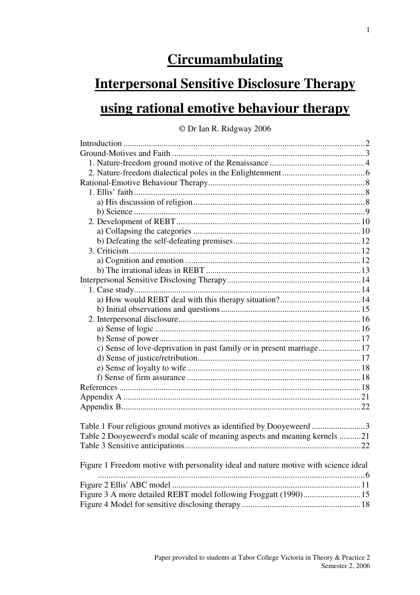# **Circumambulating**

# **Interpersonal Sensitive Disclosure Therapy using rational emotive behaviour therapy**

© Dr Ian R. Ridgway 2006

| c) Sense of love-deprivation in past family or in present marriage17                |
|-------------------------------------------------------------------------------------|
|                                                                                     |
|                                                                                     |
|                                                                                     |
|                                                                                     |
|                                                                                     |
|                                                                                     |
|                                                                                     |
| Table 1 Four religious ground motives as identified by Dooyeweerd 3                 |
| Table 2 Dooyeweerd's modal scale of meaning aspects and meaning kernels 21          |
|                                                                                     |
|                                                                                     |
| Figure 1 Freedom motive with personality ideal and nature motive with science ideal |
|                                                                                     |
|                                                                                     |
| Figure 3 A more detailed REBT model following Froggatt (1990)15                     |
|                                                                                     |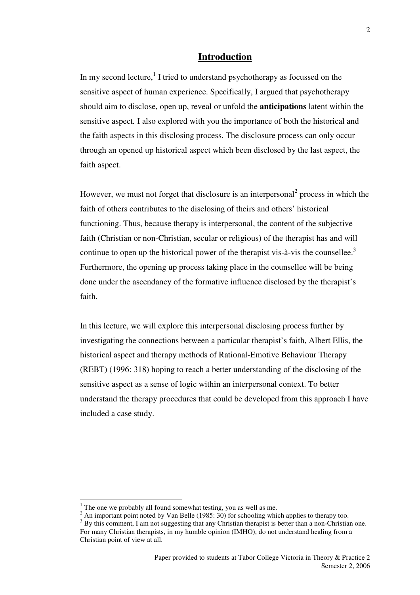### **Introduction**

In my second lecture,  $1$  I tried to understand psychotherapy as focussed on the sensitive aspect of human experience. Specifically, I argued that psychotherapy should aim to disclose, open up, reveal or unfold the **anticipations** latent within the sensitive aspect*.* I also explored with you the importance of both the historical and the faith aspects in this disclosing process. The disclosure process can only occur through an opened up historical aspect which been disclosed by the last aspect, the faith aspect.

However, we must not forget that disclosure is an interpersonal<sup>2</sup> process in which the faith of others contributes to the disclosing of theirs and others' historical functioning. Thus, because therapy is interpersonal, the content of the subjective faith (Christian or non-Christian, secular or religious) of the therapist has and will continue to open up the historical power of the therapist vis- $a$ -vis the counsellee.<sup>3</sup> Furthermore, the opening up process taking place in the counsellee will be being done under the ascendancy of the formative influence disclosed by the therapist's faith.

In this lecture, we will explore this interpersonal disclosing process further by investigating the connections between a particular therapist's faith, Albert Ellis, the historical aspect and therapy methods of Rational-Emotive Behaviour Therapy (REBT) (1996: 318) hoping to reach a better understanding of the disclosing of the sensitive aspect as a sense of logic within an interpersonal context. To better understand the therapy procedures that could be developed from this approach I have included a case study.

 $1$ <sup>1</sup> The one we probably all found somewhat testing, you as well as me.

 $2 \text{ An important point noted by Van Belle } (1985: 30)$  for schooling which applies to therapy too.

<sup>&</sup>lt;sup>3</sup> By this comment, I am not suggesting that any Christian therapist is better than a non-Christian one. For many Christian therapists, in my humble opinion (IMHO), do not understand healing from a Christian point of view at all.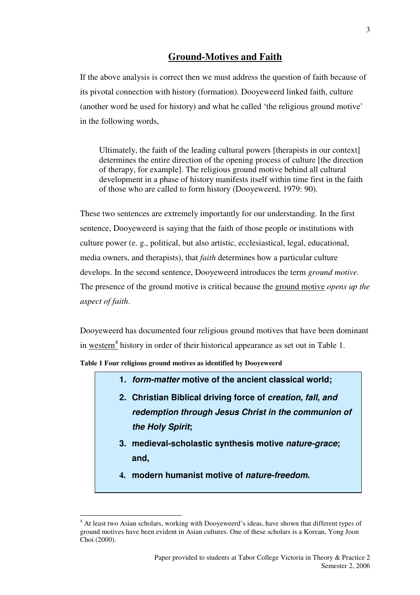## **Ground-Motives and Faith**

If the above analysis is correct then we must address the question of faith because of its pivotal connection with history (formation). Dooyeweerd linked faith, culture (another word he used for history) and what he called 'the religious ground motive' in the following words,

Ultimately, the faith of the leading cultural powers [therapists in our context] determines the entire direction of the opening process of culture [the direction of therapy, for example]. The religious ground motive behind all cultural development in a phase of history manifests itself within time first in the faith of those who are called to form history (Dooyeweerd, 1979: 90).

These two sentences are extremely importantly for our understanding. In the first sentence, Dooyeweerd is saying that the faith of those people or institutions with culture power (e. g., political, but also artistic, ecclesiastical, legal, educational, media owners, and therapists), that *faith* determines how a particular culture develops. In the second sentence, Dooyeweerd introduces the term *ground motive.*  The presence of the ground motive is critical because the ground motive *opens up the aspect of faith*.

Dooyeweerd has documented four religious ground motives that have been dominant in  $western<sup>4</sup>$  history in order of their historical appearance as set out in Table 1.

**Table 1 Four religious ground motives as identified by Dooyeweerd** 

- **1. form-matter motive of the ancient classical world;**
- **2. Christian Biblical driving force of creation, fall, and redemption through Jesus Christ in the communion of the Holy Spirit;**
- **3. medieval-scholastic synthesis motive nature-grace; and,**
- **4. modern humanist motive of nature-freedom.**

<sup>&</sup>lt;sup>4</sup> At least two Asian scholars, working with Dooyeweerd's ideas, have shown that different types of ground motives have been evident in Asian cultures. One of these scholars is a Korean, Yong Joon Choi (2000).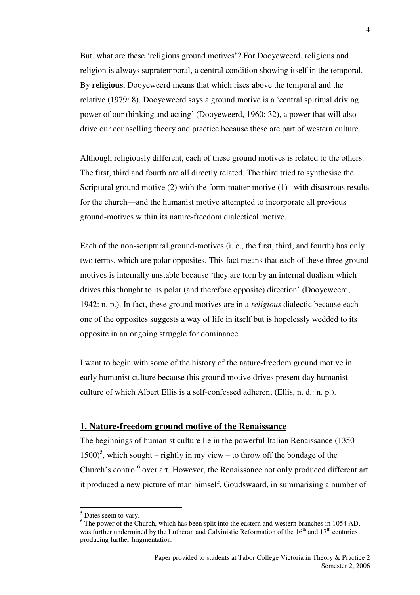But, what are these 'religious ground motives'? For Dooyeweerd, religious and religion is always supratemporal, a central condition showing itself in the temporal. By **religious**, Dooyeweerd means that which rises above the temporal and the relative (1979: 8). Dooyeweerd says a ground motive is a 'central spiritual driving power of our thinking and acting' (Dooyeweerd, 1960: 32), a power that will also drive our counselling theory and practice because these are part of western culture.

Although religiously different, each of these ground motives is related to the others. The first, third and fourth are all directly related. The third tried to synthesise the Scriptural ground motive (2) with the form-matter motive (1) –with disastrous results for the church—and the humanist motive attempted to incorporate all previous ground-motives within its nature-freedom dialectical motive.

Each of the non-scriptural ground-motives (i. e., the first, third, and fourth) has only two terms, which are polar opposites. This fact means that each of these three ground motives is internally unstable because 'they are torn by an internal dualism which drives this thought to its polar (and therefore opposite) direction' (Dooyeweerd, 1942: n. p.). In fact, these ground motives are in a *religious* dialectic because each one of the opposites suggests a way of life in itself but is hopelessly wedded to its opposite in an ongoing struggle for dominance.

I want to begin with some of the history of the nature-freedom ground motive in early humanist culture because this ground motive drives present day humanist culture of which Albert Ellis is a self-confessed adherent (Ellis, n. d.: n. p.).

## **1. Nature-freedom ground motive of the Renaissance**

The beginnings of humanist culture lie in the powerful Italian Renaissance (1350-  $1500$ <sup>5</sup>, which sought – rightly in my view – to throw off the bondage of the Church's control<sup>6</sup> over art. However, the Renaissance not only produced different art it produced a new picture of man himself. Goudswaard, in summarising a number of

<sup>&</sup>lt;sup>5</sup> Dates seem to vary.

 $6$  The power of the Church, which has been split into the eastern and western branches in 1054 AD, was further undermined by the Lutheran and Calvinistic Reformation of the  $16<sup>th</sup>$  and  $17<sup>th</sup>$  centuries producing further fragmentation.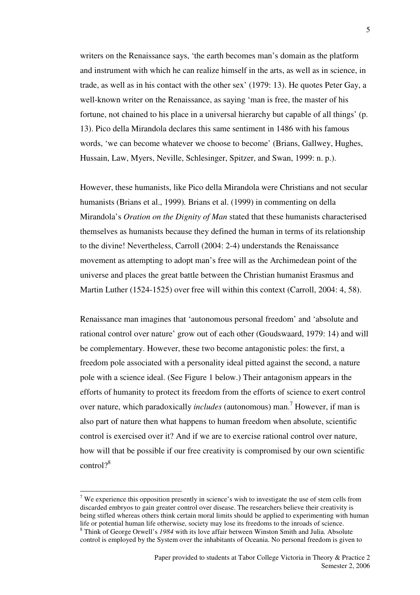writers on the Renaissance says, 'the earth becomes man's domain as the platform and instrument with which he can realize himself in the arts, as well as in science, in trade, as well as in his contact with the other sex' (1979: 13). He quotes Peter Gay, a well-known writer on the Renaissance, as saying 'man is free, the master of his fortune, not chained to his place in a universal hierarchy but capable of all things' (p. 13). Pico della Mirandola declares this same sentiment in 1486 with his famous words, 'we can become whatever we choose to become' (Brians, Gallwey, Hughes, Hussain, Law, Myers, Neville, Schlesinger, Spitzer, and Swan, 1999: n. p.).

However, these humanists, like Pico della Mirandola were Christians and not secular humanists (Brians et al., 1999)*.* Brians et al. (1999) in commenting on della Mirandola's *Oration on the Dignity of Man* stated that these humanists characterised themselves as humanists because they defined the human in terms of its relationship to the divine! Nevertheless, Carroll (2004: 2-4) understands the Renaissance movement as attempting to adopt man's free will as the Archimedean point of the universe and places the great battle between the Christian humanist Erasmus and Martin Luther (1524-1525) over free will within this context (Carroll, 2004: 4, 58).

Renaissance man imagines that 'autonomous personal freedom' and 'absolute and rational control over nature' grow out of each other (Goudswaard, 1979: 14) and will be complementary. However, these two become antagonistic poles: the first, a freedom pole associated with a personality ideal pitted against the second, a nature pole with a science ideal. (See Figure 1 below.) Their antagonism appears in the efforts of humanity to protect its freedom from the efforts of science to exert control over nature, which paradoxically *includes* (autonomous) man.<sup>7</sup> However, if man is also part of nature then what happens to human freedom when absolute, scientific control is exercised over it? And if we are to exercise rational control over nature, how will that be possible if our free creativity is compromised by our own scientific control?<sup>8</sup>

<sup>&</sup>lt;sup>7</sup> We experience this opposition presently in science's wish to investigate the use of stem cells from discarded embryos to gain greater control over disease. The researchers believe their creativity is being stifled whereas others think certain moral limits should be applied to experimenting with human life or potential human life otherwise, society may lose its freedoms to the inroads of science.

<sup>8</sup> Think of George Orwell's *1984* with its love affair between Winston Smith and Julia*.* Absolute control is employed by the System over the inhabitants of Oceania. No personal freedom is given to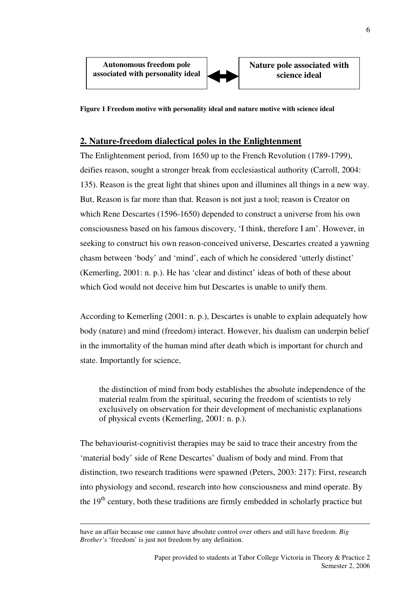

**Nature pole associated with science ideal** 

**Figure 1 Freedom motive with personality ideal and nature motive with science ideal** 

## **2. Nature-freedom dialectical poles in the Enlightenment**

The Enlightenment period, from 1650 up to the French Revolution (1789-1799), deifies reason, sought a stronger break from ecclesiastical authority (Carroll, 2004: 135). Reason is the great light that shines upon and illumines all things in a new way. But, Reason is far more than that. Reason is not just a tool; reason is Creator on which Rene Descartes (1596-1650) depended to construct a universe from his own consciousness based on his famous discovery, 'I think, therefore I am'. However, in seeking to construct his own reason-conceived universe, Descartes created a yawning chasm between 'body' and 'mind', each of which he considered 'utterly distinct' (Kemerling, 2001: n. p.). He has 'clear and distinct' ideas of both of these about which God would not deceive him but Descartes is unable to unify them.

According to Kemerling (2001: n. p.), Descartes is unable to explain adequately how body (nature) and mind (freedom) interact. However, his dualism can underpin belief in the immortality of the human mind after death which is important for church and state. Importantly for science,

the distinction of mind from body establishes the absolute independence of the material realm from the spiritual, securing the freedom of scientists to rely exclusively on observation for their development of mechanistic explanations of physical events (Kemerling, 2001: n. p.).

The behaviourist-cognitivist therapies may be said to trace their ancestry from the 'material body' side of Rene Descartes' dualism of body and mind. From that distinction, two research traditions were spawned (Peters, 2003: 217): First, research into physiology and second, research into how consciousness and mind operate. By the 19<sup>th</sup> century, both these traditions are firmly embedded in scholarly practice but

have an affair because one cannot have absolute control over others and still have freedom. *Big Brother's* 'freedom' is just not freedom by any definition.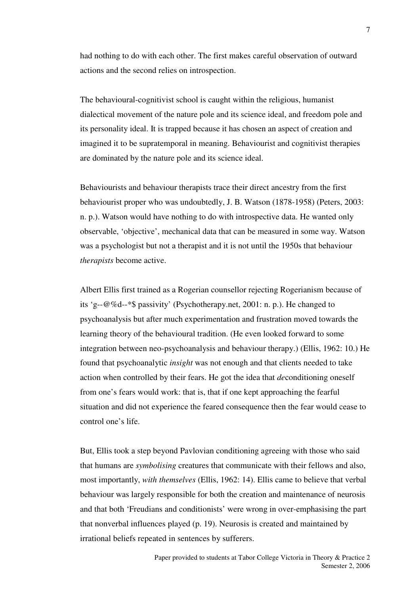had nothing to do with each other. The first makes careful observation of outward actions and the second relies on introspection.

The behavioural-cognitivist school is caught within the religious, humanist dialectical movement of the nature pole and its science ideal, and freedom pole and its personality ideal. It is trapped because it has chosen an aspect of creation and imagined it to be supratemporal in meaning. Behaviourist and cognitivist therapies are dominated by the nature pole and its science ideal.

Behaviourists and behaviour therapists trace their direct ancestry from the first behaviourist proper who was undoubtedly, J. B. Watson (1878-1958) (Peters, 2003: n. p.). Watson would have nothing to do with introspective data. He wanted only observable, 'objective', mechanical data that can be measured in some way. Watson was a psychologist but not a therapist and it is not until the 1950s that behaviour *therapists* become active.

Albert Ellis first trained as a Rogerian counsellor rejecting Rogerianism because of its 'g--@%d--\*\$ passivity' (Psychotherapy.net, 2001: n. p.). He changed to psychoanalysis but after much experimentation and frustration moved towards the learning theory of the behavioural tradition. (He even looked forward to some integration between neo-psychoanalysis and behaviour therapy.) (Ellis, 1962: 10.) He found that psychoanalytic *insight* was not enough and that clients needed to take action when controlled by their fears. He got the idea that *de*conditioning oneself from one's fears would work: that is, that if one kept approaching the fearful situation and did not experience the feared consequence then the fear would cease to control one's life.

But, Ellis took a step beyond Pavlovian conditioning agreeing with those who said that humans are *symbolising* creatures that communicate with their fellows and also, most importantly, *with themselves* (Ellis, 1962: 14). Ellis came to believe that verbal behaviour was largely responsible for both the creation and maintenance of neurosis and that both 'Freudians and conditionists' were wrong in over-emphasising the part that nonverbal influences played (p. 19). Neurosis is created and maintained by irrational beliefs repeated in sentences by sufferers.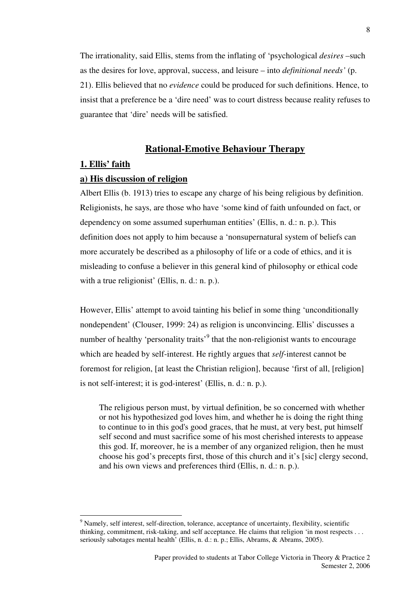The irrationality, said Ellis, stems from the inflating of 'psychological *desires* –such as the desires for love, approval, success, and leisure – into *definitional needs'* (p. 21). Ellis believed that no *evidence* could be produced for such definitions. Hence, to insist that a preference be a 'dire need' was to court distress because reality refuses to guarantee that 'dire' needs will be satisfied.

## **Rational-Emotive Behaviour Therapy**

#### **1. Ellis' faith**

 $\overline{a}$ 

#### **a) His discussion of religion**

Albert Ellis (b. 1913) tries to escape any charge of his being religious by definition. Religionists, he says, are those who have 'some kind of faith unfounded on fact, or dependency on some assumed superhuman entities' (Ellis, n. d.: n. p.). This definition does not apply to him because a 'nonsupernatural system of beliefs can more accurately be described as a philosophy of life or a code of ethics, and it is misleading to confuse a believer in this general kind of philosophy or ethical code with a true religionist' (Ellis, n. d.: n. p.).

However, Ellis' attempt to avoid tainting his belief in some thing 'unconditionally nondependent' (Clouser, 1999: 24) as religion is unconvincing. Ellis' discusses a number of healthy 'personality traits'<sup>9</sup> that the non-religionist wants to encourage which are headed by self-interest. He rightly argues that *self*-interest cannot be foremost for religion, [at least the Christian religion], because 'first of all, [religion] is not self-interest; it is god-interest' (Ellis, n. d.: n. p.).

The religious person must, by virtual definition, be so concerned with whether or not his hypothesized god loves him, and whether he is doing the right thing to continue to in this god's good graces, that he must, at very best, put himself self second and must sacrifice some of his most cherished interests to appease this god. If, moreover, he is a member of any organized religion, then he must choose his god's precepts first, those of this church and it's [sic] clergy second, and his own views and preferences third (Ellis, n. d.: n. p.).

<sup>&</sup>lt;sup>9</sup> Namely, self interest, self-direction, tolerance, acceptance of uncertainty, flexibility, scientific thinking, commitment, risk-taking, and self acceptance. He claims that religion 'in most respects . . . seriously sabotages mental health' (Ellis, n. d.: n. p.; Ellis, Abrams, & Abrams, 2005).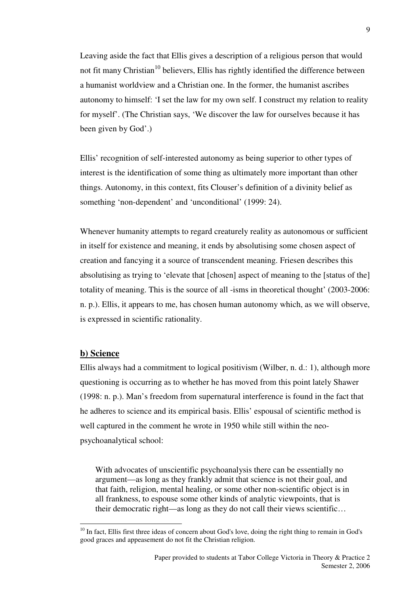Leaving aside the fact that Ellis gives a description of a religious person that would not fit many Christian<sup>10</sup> believers, Ellis has rightly identified the difference between a humanist worldview and a Christian one. In the former, the humanist ascribes autonomy to himself: 'I set the law for my own self. I construct my relation to reality for myself'. (The Christian says, 'We discover the law for ourselves because it has been given by God'.)

Ellis' recognition of self-interested autonomy as being superior to other types of interest is the identification of some thing as ultimately more important than other things. Autonomy, in this context, fits Clouser's definition of a divinity belief as something 'non-dependent' and 'unconditional' (1999: 24).

Whenever humanity attempts to regard creaturely reality as autonomous or sufficient in itself for existence and meaning, it ends by absolutising some chosen aspect of creation and fancying it a source of transcendent meaning. Friesen describes this absolutising as trying to 'elevate that [chosen] aspect of meaning to the [status of the] totality of meaning. This is the source of all -isms in theoretical thought' (2003-2006: n. p.). Ellis, it appears to me, has chosen human autonomy which, as we will observe, is expressed in scientific rationality.

### **b) Science**

 $\overline{a}$ 

Ellis always had a commitment to logical positivism (Wilber, n. d.: 1), although more questioning is occurring as to whether he has moved from this point lately Shawer (1998: n. p.). Man's freedom from supernatural interference is found in the fact that he adheres to science and its empirical basis. Ellis' espousal of scientific method is well captured in the comment he wrote in 1950 while still within the neopsychoanalytical school:

With advocates of unscientific psychoanalysis there can be essentially no argument—as long as they frankly admit that science is not their goal, and that faith, religion, mental healing, or some other non-scientific object is in all frankness, to espouse some other kinds of analytic viewpoints, that is their democratic right—as long as they do not call their views scientific…

9

<sup>&</sup>lt;sup>10</sup> In fact, Ellis first three ideas of concern about God's love, doing the right thing to remain in God's good graces and appeasement do not fit the Christian religion.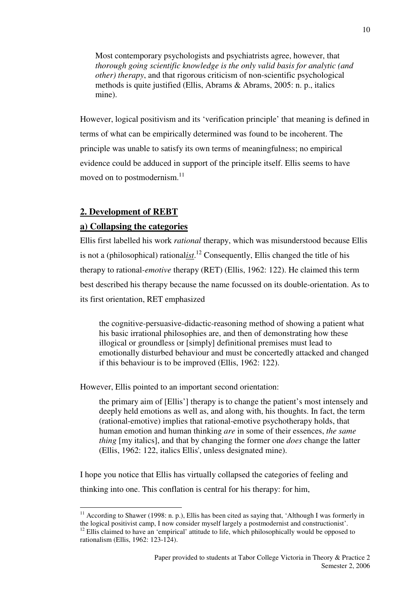Most contemporary psychologists and psychiatrists agree, however, that *thorough going scientific knowledge is the only valid basis for analytic (and other) therapy*, and that rigorous criticism of non-scientific psychological methods is quite justified (Ellis, Abrams & Abrams, 2005: n. p., italics mine).

However, logical positivism and its 'verification principle' that meaning is defined in terms of what can be empirically determined was found to be incoherent. The principle was unable to satisfy its own terms of meaningfulness; no empirical evidence could be adduced in support of the principle itself. Ellis seems to have moved on to postmodernism.<sup>11</sup>

## **2. Development of REBT**

 $\overline{a}$ 

### **a) Collapsing the categories**

Ellis first labelled his work *rational* therapy, which was misunderstood because Ellis is not a (philosophical) rational*ist*. <sup>12</sup> Consequently, Ellis changed the title of his therapy to rational*-emotive* therapy (RET) (Ellis, 1962: 122). He claimed this term best described his therapy because the name focussed on its double-orientation. As to its first orientation, RET emphasized

the cognitive-persuasive-didactic-reasoning method of showing a patient what his basic irrational philosophies are, and then of demonstrating how these illogical or groundless or [simply] definitional premises must lead to emotionally disturbed behaviour and must be concertedly attacked and changed if this behaviour is to be improved (Ellis, 1962: 122).

However, Ellis pointed to an important second orientation:

the primary aim of [Ellis'] therapy is to change the patient's most intensely and deeply held emotions as well as, and along with, his thoughts. In fact, the term (rational-emotive) implies that rational-emotive psychotherapy holds, that human emotion and human thinking *are* in some of their essences, *the same thing* [my italics], and that by changing the former one *does* change the latter (Ellis, 1962: 122, italics Ellis', unless designated mine).

I hope you notice that Ellis has virtually collapsed the categories of feeling and thinking into one. This conflation is central for his therapy: for him,

 $11$  According to Shawer (1998: n. p.), Ellis has been cited as saying that, 'Although I was formerly in the logical positivist camp, I now consider myself largely a postmodernist and constructionist'.

<sup>&</sup>lt;sup>12</sup> Ellis claimed to have an 'empirical' attitude to life, which philosophically would be opposed to rationalism (Ellis, 1962: 123-124).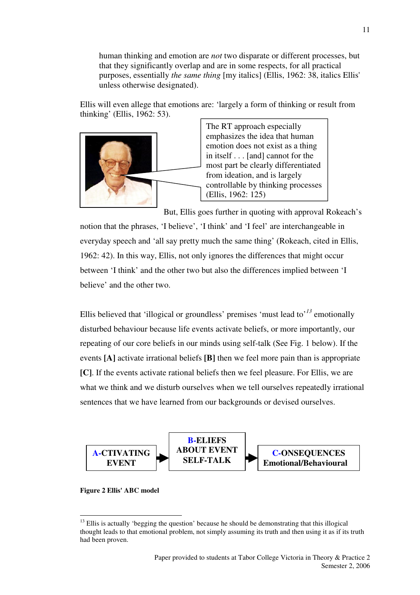human thinking and emotion are *not* two disparate or different processes, but that they significantly overlap and are in some respects, for all practical purposes, essentially *the same thing* [my italics] (Ellis, 1962: 38, italics Ellis' unless otherwise designated).

Ellis will even allege that emotions are: 'largely a form of thinking or result from thinking' (Ellis, 1962: 53).



The RT approach especially emphasizes the idea that human emotion does not exist as a thing in itself . . . [and] cannot for the most part be clearly differentiated from ideation, and is largely controllable by thinking processes (Ellis, 1962: 125)

But, Ellis goes further in quoting with approval Rokeach's

notion that the phrases, 'I believe', 'I think' and 'I feel' are interchangeable in everyday speech and 'all say pretty much the same thing' (Rokeach, cited in Ellis, 1962: 42). In this way, Ellis, not only ignores the differences that might occur between 'I think' and the other two but also the differences implied between 'I believe' and the other two.

Ellis believed that 'illogical or groundless' premises 'must lead to'*<sup>13</sup>* emotionally disturbed behaviour because life events activate beliefs, or more importantly, our repeating of our core beliefs in our minds using self-talk (See Fig. 1 below). If the events **[A]** activate irrational beliefs **[B]** then we feel more pain than is appropriate **[C]**. If the events activate rational beliefs then we feel pleasure. For Ellis, we are what we think and we disturb ourselves when we tell ourselves repeatedly irrational sentences that we have learned from our backgrounds or devised ourselves.



#### **Figure 2 Ellis' ABC model**

 $13$  Ellis is actually 'begging the question' because he should be demonstrating that this illogical thought leads to that emotional problem, not simply assuming its truth and then using it as if its truth had been proven.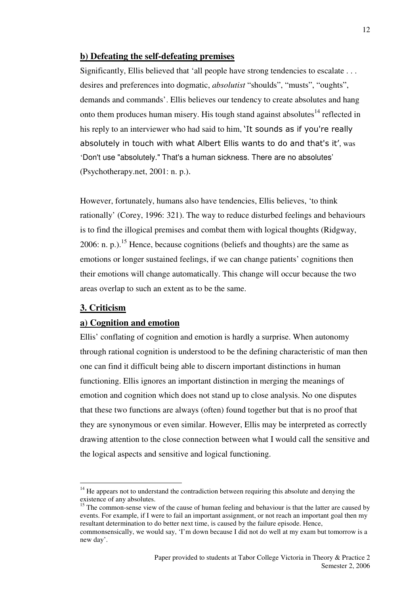## **b) Defeating the self-defeating premises**

Significantly, Ellis believed that 'all people have strong tendencies to escalate . . . desires and preferences into dogmatic, *absolutist* "shoulds", "musts", "oughts", demands and commands'. Ellis believes our tendency to create absolutes and hang onto them produces human misery. His tough stand against absolutes<sup>14</sup> reflected in his reply to an interviewer who had said to him, 'It sounds as if you're really absolutely in touch with what Albert Ellis wants to do and that's it', was 'Don't use "absolutely." That's a human sickness. There are no absolutes' (Psychotherapy.net, 2001: n. p.).

However, fortunately, humans also have tendencies, Ellis believes, 'to think rationally' (Corey, 1996: 321). The way to reduce disturbed feelings and behaviours is to find the illogical premises and combat them with logical thoughts (Ridgway, 2006: n. p.).<sup>15</sup> Hence, because cognitions (beliefs and thoughts) are the same as emotions or longer sustained feelings, if we can change patients' cognitions then their emotions will change automatically. This change will occur because the two areas overlap to such an extent as to be the same.

## **3. Criticism**

 $\overline{a}$ 

## **a) Cognition and emotion**

Ellis' conflating of cognition and emotion is hardly a surprise. When autonomy through rational cognition is understood to be the defining characteristic of man then one can find it difficult being able to discern important distinctions in human functioning. Ellis ignores an important distinction in merging the meanings of emotion and cognition which does not stand up to close analysis. No one disputes that these two functions are always (often) found together but that is no proof that they are synonymous or even similar. However, Ellis may be interpreted as correctly drawing attention to the close connection between what I would call the sensitive and the logical aspects and sensitive and logical functioning.

 $14$  He appears not to understand the contradiction between requiring this absolute and denying the existence of any absolutes.

<sup>&</sup>lt;sup>15</sup> The common-sense view of the cause of human feeling and behaviour is that the latter are caused by events. For example, if I were to fail an important assignment, or not reach an important goal then my resultant determination to do better next time, is caused by the failure episode. Hence, commonsensically, we would say, 'I'm down because I did not do well at my exam but tomorrow is a

new day'.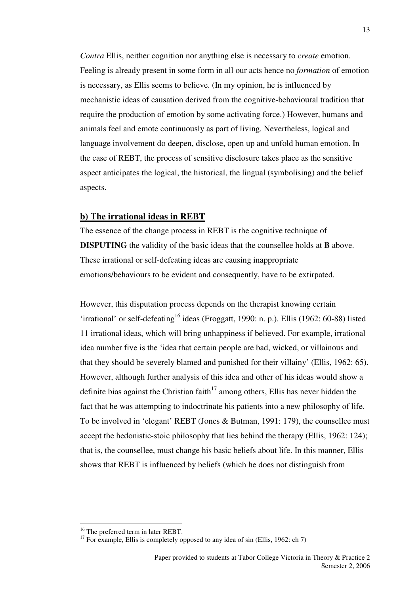*Contra* Ellis, neither cognition nor anything else is necessary to *create* emotion. Feeling is already present in some form in all our acts hence no *formation* of emotion is necessary, as Ellis seems to believe. (In my opinion, he is influenced by mechanistic ideas of causation derived from the cognitive-behavioural tradition that require the production of emotion by some activating force.) However, humans and animals feel and emote continuously as part of living. Nevertheless, logical and language involvement do deepen, disclose, open up and unfold human emotion. In the case of REBT, the process of sensitive disclosure takes place as the sensitive aspect anticipates the logical, the historical, the lingual (symbolising) and the belief aspects.

## **b) The irrational ideas in REBT**

The essence of the change process in REBT is the cognitive technique of **DISPUTING** the validity of the basic ideas that the counsellee holds at **B** above. These irrational or self-defeating ideas are causing inappropriate emotions/behaviours to be evident and consequently, have to be extirpated.

However, this disputation process depends on the therapist knowing certain 'irrational' or self-defeating<sup>16</sup> ideas (Froggatt, 1990: n. p.). Ellis (1962: 60-88) listed 11 irrational ideas, which will bring unhappiness if believed. For example, irrational idea number five is the 'idea that certain people are bad, wicked, or villainous and that they should be severely blamed and punished for their villainy' (Ellis, 1962: 65). However, although further analysis of this idea and other of his ideas would show a definite bias against the Christian faith<sup>17</sup> among others, Ellis has never hidden the fact that he was attempting to indoctrinate his patients into a new philosophy of life. To be involved in 'elegant' REBT (Jones & Butman, 1991: 179), the counsellee must accept the hedonistic-stoic philosophy that lies behind the therapy (Ellis, 1962: 124); that is, the counsellee, must change his basic beliefs about life. In this manner, Ellis shows that REBT is influenced by beliefs (which he does not distinguish from

<sup>&</sup>lt;sup>16</sup> The preferred term in later REBT.

<sup>&</sup>lt;sup>17</sup> For example, Ellis is completely opposed to any idea of sin (Ellis, 1962: ch 7)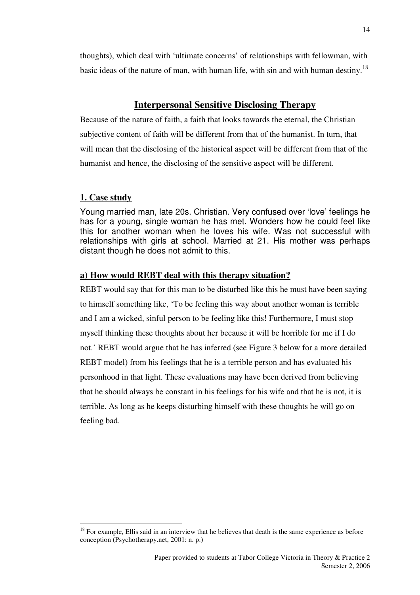thoughts), which deal with 'ultimate concerns' of relationships with fellowman, with basic ideas of the nature of man, with human life, with sin and with human destiny.<sup>18</sup>

## **Interpersonal Sensitive Disclosing Therapy**

Because of the nature of faith, a faith that looks towards the eternal, the Christian subjective content of faith will be different from that of the humanist. In turn, that will mean that the disclosing of the historical aspect will be different from that of the humanist and hence, the disclosing of the sensitive aspect will be different.

## **1. Case study**

 $\overline{a}$ 

Young married man, late 20s. Christian. Very confused over 'love' feelings he has for a young, single woman he has met. Wonders how he could feel like this for another woman when he loves his wife. Was not successful with relationships with girls at school. Married at 21. His mother was perhaps distant though he does not admit to this.

## **a) How would REBT deal with this therapy situation?**

REBT would say that for this man to be disturbed like this he must have been saying to himself something like, 'To be feeling this way about another woman is terrible and I am a wicked, sinful person to be feeling like this! Furthermore, I must stop myself thinking these thoughts about her because it will be horrible for me if I do not.' REBT would argue that he has inferred (see Figure 3 below for a more detailed REBT model) from his feelings that he is a terrible person and has evaluated his personhood in that light. These evaluations may have been derived from believing that he should always be constant in his feelings for his wife and that he is not, it is terrible. As long as he keeps disturbing himself with these thoughts he will go on feeling bad.

 $18$  For example, Ellis said in an interview that he believes that death is the same experience as before conception (Psychotherapy.net, 2001: n. p.)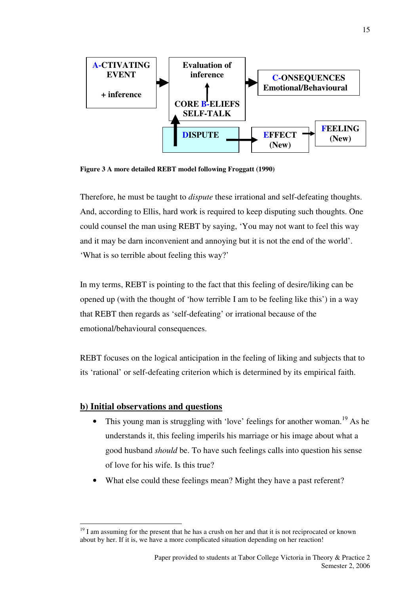

**Figure 3 A more detailed REBT model following Froggatt (1990)** 

Therefore, he must be taught to *dispute* these irrational and self-defeating thoughts. And, according to Ellis, hard work is required to keep disputing such thoughts. One could counsel the man using REBT by saying, 'You may not want to feel this way and it may be darn inconvenient and annoying but it is not the end of the world'. 'What is so terrible about feeling this way?'

In my terms, REBT is pointing to the fact that this feeling of desire/liking can be opened up (with the thought of 'how terrible I am to be feeling like this') in a way that REBT then regards as 'self-defeating' or irrational because of the emotional/behavioural consequences.

REBT focuses on the logical anticipation in the feeling of liking and subjects that to its 'rational' or self-defeating criterion which is determined by its empirical faith.

## **b) Initial observations and questions**

- This young man is struggling with 'love' feelings for another woman.<sup>19</sup> As he understands it, this feeling imperils his marriage or his image about what a good husband *should* be. To have such feelings calls into question his sense of love for his wife. Is this true?
- What else could these feelings mean? Might they have a past referent?

 $\overline{a}$  $19$  I am assuming for the present that he has a crush on her and that it is not reciprocated or known about by her. If it is, we have a more complicated situation depending on her reaction!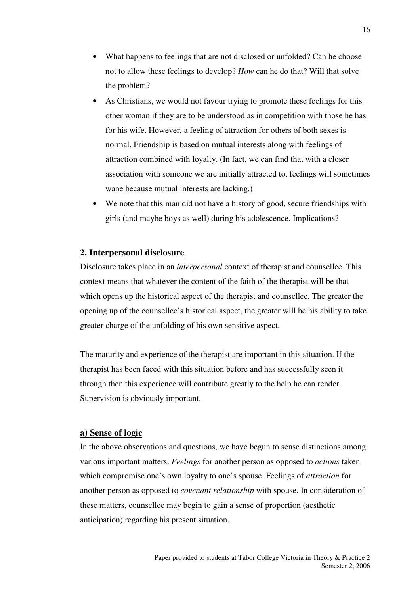- What happens to feelings that are not disclosed or unfolded? Can he choose not to allow these feelings to develop? *How* can he do that? Will that solve the problem?
- As Christians, we would not favour trying to promote these feelings for this other woman if they are to be understood as in competition with those he has for his wife. However, a feeling of attraction for others of both sexes is normal. Friendship is based on mutual interests along with feelings of attraction combined with loyalty. (In fact, we can find that with a closer association with someone we are initially attracted to, feelings will sometimes wane because mutual interests are lacking.)
- We note that this man did not have a history of good, secure friendships with girls (and maybe boys as well) during his adolescence. Implications?

## **2. Interpersonal disclosure**

Disclosure takes place in an *interpersonal* context of therapist and counsellee. This context means that whatever the content of the faith of the therapist will be that which opens up the historical aspect of the therapist and counsellee. The greater the opening up of the counsellee's historical aspect, the greater will be his ability to take greater charge of the unfolding of his own sensitive aspect.

The maturity and experience of the therapist are important in this situation. If the therapist has been faced with this situation before and has successfully seen it through then this experience will contribute greatly to the help he can render. Supervision is obviously important.

## **a) Sense of logic**

In the above observations and questions, we have begun to sense distinctions among various important matters. *Feelings* for another person as opposed to *actions* taken which compromise one's own loyalty to one's spouse. Feelings of *attraction* for another person as opposed to *covenant relationship* with spouse. In consideration of these matters, counsellee may begin to gain a sense of proportion (aesthetic anticipation) regarding his present situation.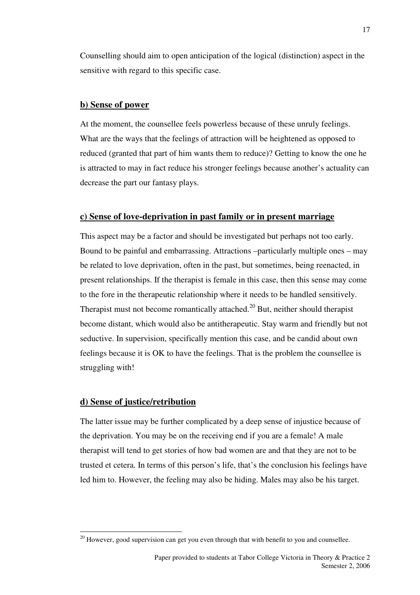Counselling should aim to open anticipation of the logical (distinction) aspect in the sensitive with regard to this specific case.

## **b) Sense of power**

At the moment, the counsellee feels powerless because of these unruly feelings. What are the ways that the feelings of attraction will be heightened as opposed to reduced (granted that part of him wants them to reduce)? Getting to know the one he is attracted to may in fact reduce his stronger feelings because another's actuality can decrease the part our fantasy plays.

## **c) Sense of love-deprivation in past family or in present marriage**

This aspect may be a factor and should be investigated but perhaps not too early. Bound to be painful and embarrassing. Attractions –particularly multiple ones – may be related to love deprivation, often in the past, but sometimes, being reenacted, in present relationships. If the therapist is female in this case, then this sense may come to the fore in the therapeutic relationship where it needs to be handled sensitively. Therapist must not become romantically attached.<sup>20</sup> But, neither should therapist become distant, which would also be antitherapeutic. Stay warm and friendly but not seductive. In supervision, specifically mention this case, and be candid about own feelings because it is OK to have the feelings. That is the problem the counsellee is struggling with!

## **d) Sense of justice/retribution**

 $\overline{a}$ 

The latter issue may be further complicated by a deep sense of injustice because of the deprivation. You may be on the receiving end if you are a female! A male therapist will tend to get stories of how bad women are and that they are not to be trusted et cetera. In terms of this person's life, that's the conclusion his feelings have led him to. However, the feeling may also be hiding. Males may also be his target.

 $20$  However, good supervision can get you even through that with benefit to you and counsellee.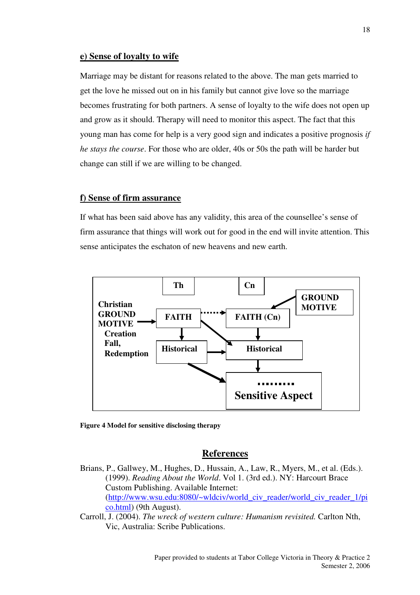#### **e) Sense of loyalty to wife**

Marriage may be distant for reasons related to the above. The man gets married to get the love he missed out on in his family but cannot give love so the marriage becomes frustrating for both partners. A sense of loyalty to the wife does not open up and grow as it should. Therapy will need to monitor this aspect. The fact that this young man has come for help is a very good sign and indicates a positive prognosis *if he stays the course*. For those who are older, 40s or 50s the path will be harder but change can still if we are willing to be changed.

## **f) Sense of firm assurance**

If what has been said above has any validity, this area of the counsellee's sense of firm assurance that things will work out for good in the end will invite attention. This sense anticipates the eschaton of new heavens and new earth.



**Figure 4 Model for sensitive disclosing therapy** 

## **References**

- Brians, P., Gallwey, M., Hughes, D., Hussain, A., Law, R., Myers, M., et al. (Eds.). (1999). *Reading About the World*. Vol 1. (3rd ed.). NY: Harcourt Brace Custom Publishing. Available Internet: (http://www.wsu.edu:8080/~wldciv/world\_civ\_reader/world\_civ\_reader\_1/pi co.html) (9th August).
- Carroll, J. (2004). *The wreck of western culture: Humanism revisited.* Carlton Nth, Vic, Australia: Scribe Publications.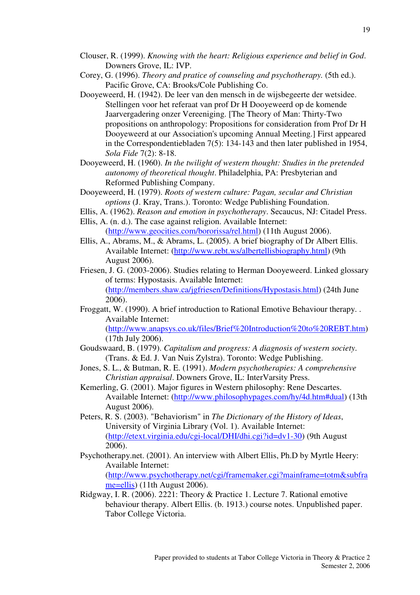Clouser, R. (1999). *Knowing with the heart: Religious experience and belief in God*. Downers Grove, IL: IVP.

Corey, G. (1996). *Theory and pratice of counseling and psychotherapy.* (5th ed.). Pacific Grove, CA: Brooks/Cole Publishing Co.

- Dooyeweerd, H. (1942). De leer van den mensch in de wijsbegeerte der wetsidee. Stellingen voor het referaat van prof Dr H Dooyeweerd op de komende Jaarvergadering onzer Vereeniging. [The Theory of Man: Thirty-Two propositions on anthropology: Propositions for consideration from Prof Dr H Dooyeweerd at our Association's upcoming Annual Meeting.] First appeared in the Correspondentiebladen 7(5): 134-143 and then later published in 1954, *Sola Fide* 7(2): 8-18.
- Dooyeweerd, H. (1960). *In the twilight of western thought: Studies in the pretended autonomy of theoretical thought*. Philadelphia, PA: Presbyterian and Reformed Publishing Company.
- Dooyeweerd, H. (1979). *Roots of western culture: Pagan, secular and Christian options* (J. Kray, Trans.). Toronto: Wedge Publishing Foundation.
- Ellis, A. (1962). *Reason and emotion in psychotherapy*. Secaucus, NJ: Citadel Press.
- Ellis, A. (n. d.). The case against religion. Available Internet: (http://www.geocities.com/bororissa/rel.html) (11th August 2006).
- Ellis, A., Abrams, M., & Abrams, L. (2005). A brief biography of Dr Albert Ellis. Available Internet: (http://www.rebt.ws/albertellisbiography.html) (9th August 2006).
- Friesen, J. G. (2003-2006). Studies relating to Herman Dooyeweerd. Linked glossary of terms: Hypostasis. Available Internet: (http://members.shaw.ca/jgfriesen/Definitions/Hypostasis.html) (24th June 2006).
- Froggatt, W. (1990). A brief introduction to Rational Emotive Behaviour therapy. . Available Internet:

(http://www.anapsys.co.uk/files/Brief%20Introduction%20to%20REBT.htm) (17th July 2006).

- Goudswaard, B. (1979). *Capitalism and progress: A diagnosis of western society*. (Trans. & Ed. J. Van Nuis Zylstra). Toronto: Wedge Publishing.
- Jones, S. L., & Butman, R. E. (1991). *Modern psychotherapies: A comprehensive Christian appraisal*. Downers Grove, IL: InterVarsity Press.
- Kemerling, G. (2001). Major figures in Western philosophy: Rene Descartes. Available Internet: (http://www.philosophypages.com/hy/4d.htm#dual) (13th August 2006).
- Peters, R. S. (2003). "Behaviorism" in *The Dictionary of the History of Ideas*, University of Virginia Library (Vol. 1). Available Internet: (http://etext.virginia.edu/cgi-local/DHI/dhi.cgi?id=dv1-30) (9th August 2006).
- Psychotherapy.net. (2001). An interview with Albert Ellis, Ph.D by Myrtle Heery: Available Internet:

(http://www.psychotherapy.net/cgi/framemaker.cgi?mainframe=totm&subfra me=ellis) (11th August 2006).

Ridgway, I. R. (2006). 2221: Theory & Practice 1. Lecture 7. Rational emotive behaviour therapy. Albert Ellis. (b. 1913.) course notes. Unpublished paper. Tabor College Victoria.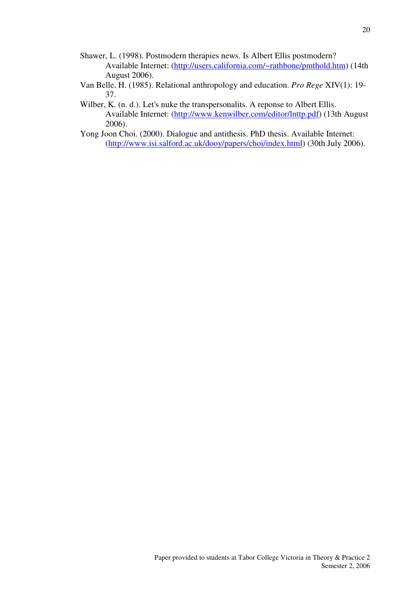- Shawer, L. (1998). Postmodern therapies news. Is Albert Ellis postmodern? Available Internet: (http://users.california.com/~rathbone/pmthold.htm) (14th August 2006).
- Van Belle, H. (1985). Relational anthropology and education. *Pro Rege* XIV(1): 19- 37.
- Wilber, K. (n. d.). Let's nuke the transpersonalits. A reponse to Albert Ellis. Available Internet: (http://www.kenwilber.com/editor/lnttp.pdf) (13th August 2006).
- Yong Joon Choi. (2000). Dialogue and antithesis. PhD thesis. Available Internet: (http://www.isi.salford.ac.uk/dooy/papers/choi/index.html) (30th July 2006).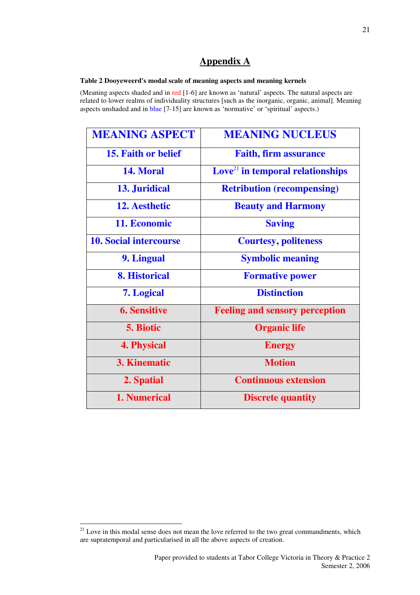## **Appendix A**

#### **Table 2 Dooyeweerd's modal scale of meaning aspects and meaning kernels**

(Meaning aspects shaded and in red [1-6] are known as 'natural' aspects. The natural aspects are related to lower realms of individuality structures [such as the inorganic, organic, animal]. Meaning aspects unshaded and in blue [7-15] are known as 'normative' or 'spiritual' aspects.)

| <b>MEANING ASPECT</b>         | <b>MEANING NUCLEUS</b>                         |  |
|-------------------------------|------------------------------------------------|--|
| <b>15. Faith or belief</b>    | <b>Faith, firm assurance</b>                   |  |
| 14. Moral                     | $\mathbf{Love}^{21}$ in temporal relationships |  |
| 13. Juridical                 | <b>Retribution (recompensing)</b>              |  |
| 12. Aesthetic                 | <b>Beauty and Harmony</b>                      |  |
| 11. Economic                  | <b>Saving</b>                                  |  |
| <b>10. Social intercourse</b> | <b>Courtesy, politeness</b>                    |  |
| 9. Lingual                    | <b>Symbolic meaning</b>                        |  |
| <b>8. Historical</b>          | <b>Formative power</b>                         |  |
| 7. Logical                    | <b>Distinction</b>                             |  |
| <b>6. Sensitive</b>           | <b>Feeling and sensory perception</b>          |  |
| 5. Biotic                     | <b>Organic life</b>                            |  |
| <b>4. Physical</b>            | <b>Energy</b>                                  |  |
| <b>3. Kinematic</b>           | <b>Motion</b>                                  |  |
| 2. Spatial                    | <b>Continuous extension</b>                    |  |
| 1. Numerical                  | <b>Discrete quantity</b>                       |  |

 $\overline{a}$  $21$  Love in this modal sense does not mean the love referred to the two great commandments, which are supratemporal and particularised in all the above aspects of creation.